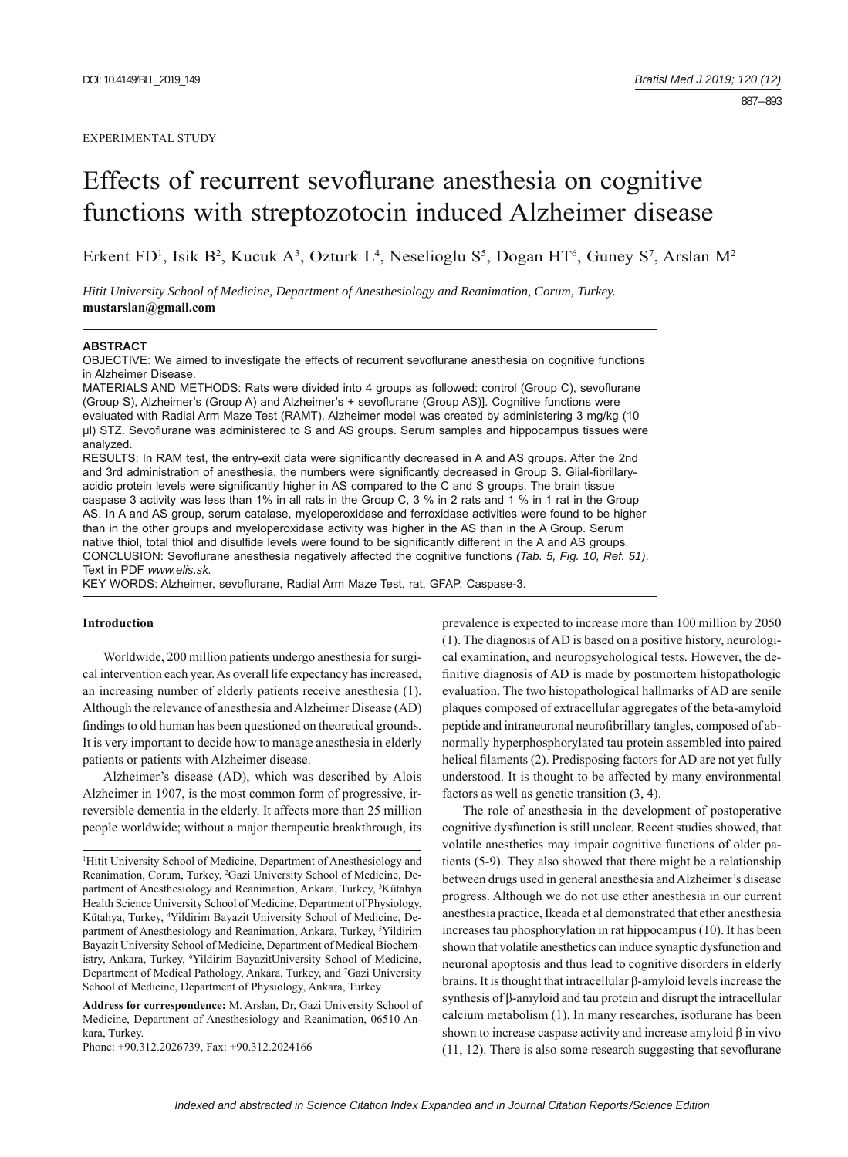# Effects of recurrent sevoflurane anesthesia on cognitive functions with streptozotocin induced Alzheimer disease

Erkent FD<sup>1</sup>, Isik B<sup>2</sup>, Kucuk A<sup>3</sup>, Ozturk L<sup>4</sup>, Neselioglu S<sup>5</sup>, Dogan HT<sup>6</sup>, Guney S<sup>7</sup>, Arslan M<sup>2</sup>

*Hitit University School of Medicine, Department of Anesthesiology and Reanimation, Corum, Turkey.*  **mustarslan@gmail.com**

#### **ABSTRACT**

OBJECTIVE: We aimed to investigate the effects of recurrent sevoflurane anesthesia on cognitive functions in Alzheimer Disease.

MATERIALS AND METHODS: Rats were divided into 4 groups as followed: control (Group C), sevoflurane (Group S), Alzheimer's (Group A) and Alzheimer's + sevoflurane (Group AS)]. Cognitive functions were evaluated with Radial Arm Maze Test (RAMT). Alzheimer model was created by administering 3 mg/kg (10 μl) STZ. Sevoflurane was administered to S and AS groups. Serum samples and hippocampus tissues were analyzed.

RESULTS: In RAM test, the entry-exit data were significantly decreased in A and AS groups. After the 2nd and 3rd administration of anesthesia, the numbers were significantly decreased in Group S. Glial-fibrillaryacidic protein levels were significantly higher in AS compared to the C and S groups. The brain tissue caspase 3 activity was less than 1% in all rats in the Group C, 3 % in 2 rats and 1 % in 1 rat in the Group AS. In A and AS group, serum catalase, myeloperoxidase and ferroxidase activities were found to be higher than in the other groups and myeloperoxidase activity was higher in the AS than in the A Group. Serum native thiol, total thiol and disulfide levels were found to be significantly different in the A and AS groups. CONCLUSION: Sevoflurane anesthesia negatively affected the cognitive functions (Tab. 5, Fig. 10, Ref. 51). Text in PDF *www.elis.sk.*

KEY WORDS: Alzheimer, sevoflurane, Radial Arm Maze Test, rat, GFAP, Caspase-3.

# **Introduction**

Worldwide, 200 million patients undergo anesthesia for surgical intervention each year. As overall life expectancy has increased, an increasing number of elderly patients receive anesthesia (1). Although the relevance of anesthesia and Alzheimer Disease (AD) findings to old human has been questioned on theoretical grounds. It is very important to decide how to manage anesthesia in elderly patients or patients with Alzheimer disease.

Alzheimer's disease (AD), which was described by Alois Alzheimer in 1907, is the most common form of progressive, irreversible dementia in the elderly. It affects more than 25 million people worldwide; without a major therapeutic breakthrough, its

**Address for correspondence:** M. Arslan, Dr, Gazi University School of Medicine, Department of Anesthesiology and Reanimation, 06510 Ankara, Turkey.

Phone: +90.312.2026739, Fax: +90.312.2024166

prevalence is expected to increase more than 100 million by 2050 (1). The diagnosis of AD is based on a positive history, neurological examination, and neuropsychological tests. However, the definitive diagnosis of AD is made by postmortem histopathologic evaluation. The two histopathological hallmarks of AD are senile plaques composed of extracellular aggregates of the beta-amyloid peptide and intraneuronal neurofibrillary tangles, composed of abnormally hyperphosphorylated tau protein assembled into paired helical filaments (2). Predisposing factors for AD are not yet fully understood. It is thought to be affected by many environmental factors as well as genetic transition (3, 4).

The role of anesthesia in the development of postoperative cognitive dysfunction is still unclear. Recent studies showed, that volatile anesthetics may impair cognitive functions of older patients (5-9). They also showed that there might be a relationship between drugs used in general anesthesia and Alzheimer's disease progress. Although we do not use ether anesthesia in our current anesthesia practice, Ikeada et al demonstrated that ether anesthesia increases tau phosphorylation in rat hippocampus (10). It has been shown that volatile anesthetics can induce synaptic dysfunction and neuronal apoptosis and thus lead to cognitive disorders in elderly brains. It is thought that intracellular β-amyloid levels increase the synthesis of β-amyloid and tau protein and disrupt the intracellular calcium metabolism (1). In many researches, isoflurane has been shown to increase caspase activity and increase amyloid  $\beta$  in vivo  $(11, 12)$ . There is also some research suggesting that sevoflurane

<sup>1</sup> Hitit University School of Medicine, Department of Anesthesiology and Reanimation, Corum, Turkey, <sup>2</sup>Gazi University School of Medicine, Department of Anesthesiology and Reanimation, Ankara, Turkey, <sup>3</sup>Kütahya Health Science University School of Medicine, Department of Physiology, Kütahya, Turkey, 4 Yildirim Bayazit University School of Medicine, Department of Anesthesiology and Reanimation, Ankara, Turkey, <sup>5</sup>Yildirim Bayazit University School of Medicine, Department of Medical Biochemistry, Ankara, Turkey, <sup>6</sup>Yildirim BayazitUniversity School of Medicine, Department of Medical Pathology, Ankara, Turkey, and 7 Gazi University School of Medicine, Department of Physiology, Ankara, Turkey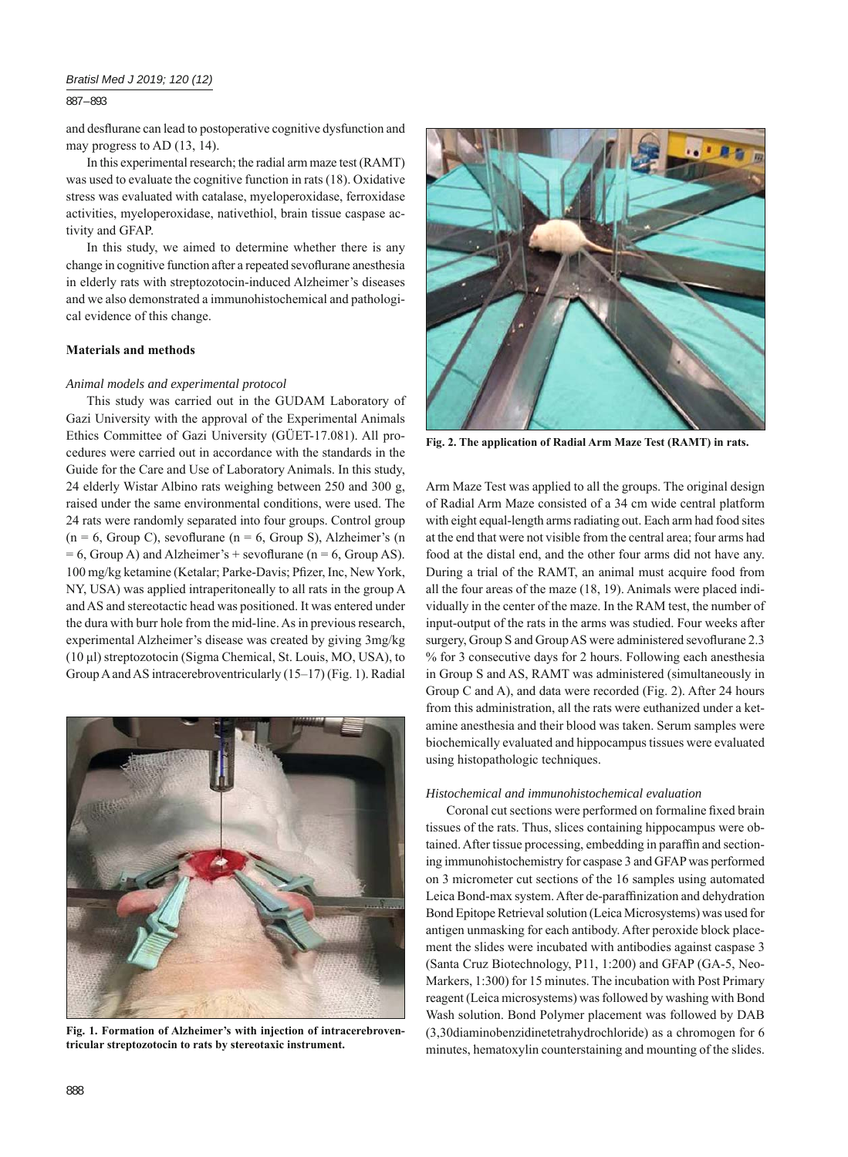# *Bratisl Med J 2019; 120 (12)*

## 887 – 893

and desflurane can lead to postoperative cognitive dysfunction and may progress to AD (13, 14).

In this experimental research; the radial arm maze test (RAMT) was used to evaluate the cognitive function in rats (18). Oxidative stress was evaluated with catalase, myeloperoxidase, ferroxidase activities, myeloperoxidase, nativethiol, brain tissue caspase activity and GFAP.

In this study, we aimed to determine whether there is any change in cognitive function after a repeated sevoflurane anesthesia in elderly rats with streptozotocin-induced Alzheimer's diseases and we also demonstrated a immunohistochemical and pathological evidence of this change.

#### **Materials and methods**

## *Animal models and experimental protocol*

This study was carried out in the GUDAM Laboratory of Gazi University with the approval of the Experimental Animals Ethics Committee of Gazi University (GÜET-17.081). All procedures were carried out in accordance with the standards in the Guide for the Care and Use of Laboratory Animals. In this study, 24 elderly Wistar Albino rats weighing between 250 and 300 g, raised under the same environmental conditions, were used. The 24 rats were randomly separated into four groups. Control group  $(n = 6, Group C)$ , sevoflurane  $(n = 6, Group S)$ , Alzheimer's  $(n = 6, Group S)$  $= 6$ , Group A) and Alzheimer's + sevoflurane (n = 6, Group AS). 100 mg/kg ketamine (Ketalar; Parke-Davis; Pfizer, Inc, New York, NY, USA) was applied intraperitoneally to all rats in the group A and AS and stereotactic head was positioned. It was entered under the dura with burr hole from the mid-line. As in previous research, experimental Alzheimer's disease was created by giving 3mg/kg (10 μl) streptozotocin (Sigma Chemical, St. Louis, MO, USA), to Group A and AS intracerebroventricularly (15–17) (Fig. 1). Radial



Fig. 1. Formation of Alzheimer's with injection of intracerebroven**tricular streptozotocin to rats by stereotaxic instrument.**



**Fig. 2. The application of Radial Arm Maze Test (RAMT) in rats.**

Arm Maze Test was applied to all the groups. The original design of Radial Arm Maze consisted of a 34 cm wide central platform with eight equal-length arms radiating out. Each arm had food sites at the end that were not visible from the central area; four arms had food at the distal end, and the other four arms did not have any. During a trial of the RAMT, an animal must acquire food from all the four areas of the maze (18, 19). Animals were placed individually in the center of the maze. In the RAM test, the number of input-output of the rats in the arms was studied. Four weeks after surgery, Group S and Group AS were administered sevoflurane 2.3 % for 3 consecutive days for 2 hours. Following each anesthesia in Group S and AS, RAMT was administered (simultaneously in Group C and A), and data were recorded (Fig. 2). After 24 hours from this administration, all the rats were euthanized under a ketamine anesthesia and their blood was taken. Serum samples were biochemically evaluated and hippocampus tissues were evaluated using histopathologic techniques.

#### *Histochemical and immunohistochemical evaluation*

Coronal cut sections were performed on formaline fixed brain tissues of the rats. Thus, slices containing hippocampus were obtained. After tissue processing, embedding in paraffin and sectioning immunohistochemistry for caspase 3 and GFAP was performed on 3 micrometer cut sections of the 16 samples using automated Leica Bond-max system. After de-paraffinization and dehydration Bond Epitope Retrieval solution (Leica Microsystems) was used for antigen unmasking for each antibody. After peroxide block placement the slides were incubated with antibodies against caspase 3 (Santa Cruz Biotechnology, P11, 1:200) and GFAP (GA-5, Neo-Markers, 1:300) for 15 minutes. The incubation with Post Primary reagent (Leica microsystems) was followed by washing with Bond Wash solution. Bond Polymer placement was followed by DAB (3,30diaminobenzidinetetrahydrochloride) as a chromogen for 6 minutes, hematoxylin counterstaining and mounting of the slides.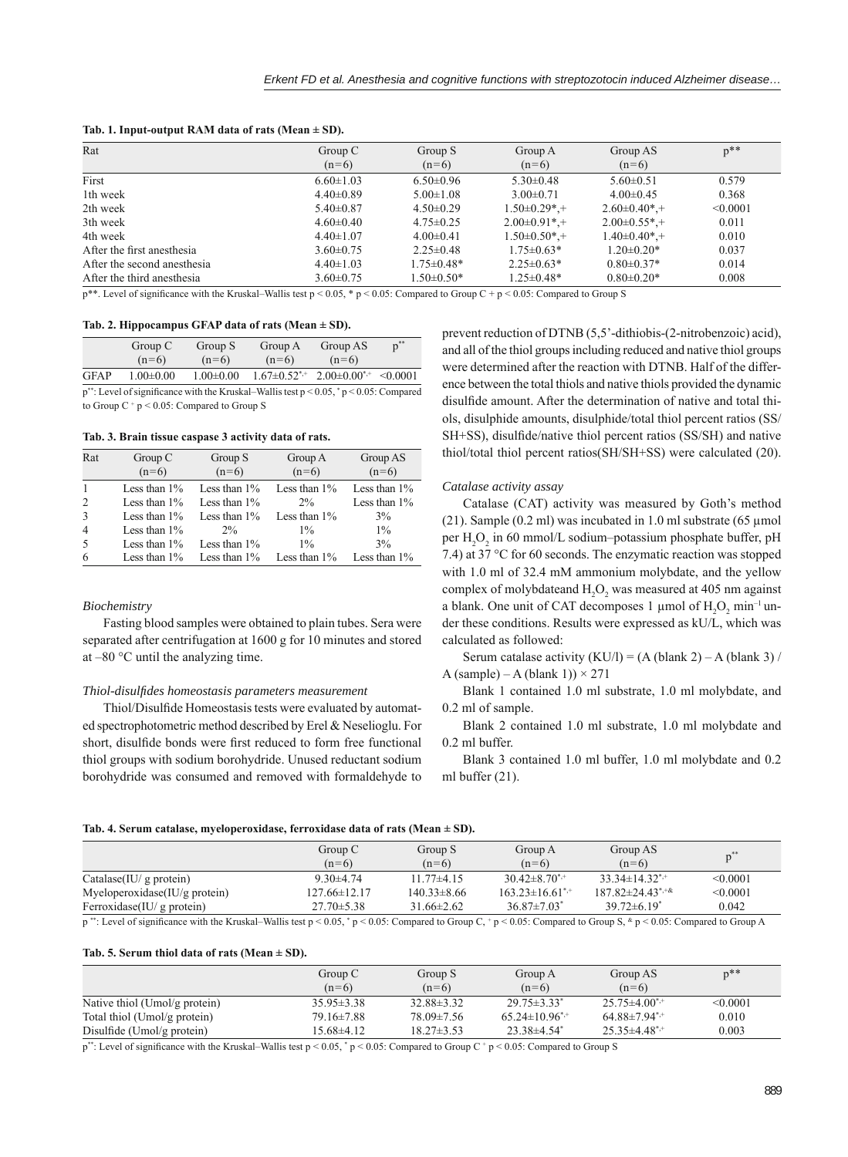| Tab. 1. Input-output RAM data of rats (Mean $\pm$ SD). |  |  |  |
|--------------------------------------------------------|--|--|--|
|--------------------------------------------------------|--|--|--|

| Rat                         | Group C         | Group S          | Group A                       | Group AS           | $p^{\ast\ast}$ |
|-----------------------------|-----------------|------------------|-------------------------------|--------------------|----------------|
|                             | $(n=6)$         | $(n=6)$          | $(n=6)$                       | $(n=6)$            |                |
| First                       | $6.60 \pm 1.03$ | $6.50 \pm 0.96$  | $5.30\pm0.48$                 | $5.60 \pm 0.51$    | 0.579          |
| 1th week                    | $4.40\pm0.89$   | $5.00 \pm 1.08$  | $3.00 \pm 0.71$               | $4.00\pm0.45$      | 0.368          |
| 2th week                    | $5.40 \pm 0.87$ | $4.50 \pm 0.29$  | $1.50\pm0.29$ <sup>*</sup> .+ | $2.60 \pm 0.40* +$ | < 0.0001       |
| 3th week                    | $4.60 \pm 0.40$ | $4.75 \pm 0.25$  | $2.00\pm0.91^*$ +             | $2.00\pm0.55*$ +   | 0.011          |
| 4th week                    | $4.40 \pm 1.07$ | $4.00 \pm 0.41$  | $1.50\pm0.50*$ +              | $1.40 \pm 0.40*$ + | 0.010          |
| After the first anesthesia  | $3.60 \pm 0.75$ | $2.25 \pm 0.48$  | $1.75 \pm 0.63*$              | $1.20 \pm 0.20*$   | 0.037          |
| After the second anesthesia | $4.40 \pm 1.03$ | $1.75 \pm 0.48*$ | $2.25 \pm 0.63*$              | $0.80 \pm 0.37*$   | 0.014          |
| After the third anesthesia  | $3.60 \pm 0.75$ | $1.50 \pm 0.50*$ | $1.25 \pm 0.48*$              | $0.80 \pm 0.20*$   | 0.008          |

 $p^{**}$ . Level of significance with the Kruskal–Wallis test  $p \le 0.05$ , \*  $p \le 0.05$ : Compared to Group C +  $p \le 0.05$ : Compared to Group S

#### **Tab. 2. Hippocampus GFAP data of rats (Mean ± SD).**

|                                                                                                  | Group C         | Group S         | Group A | Group AS                                         | $p^*$ |  |
|--------------------------------------------------------------------------------------------------|-----------------|-----------------|---------|--------------------------------------------------|-------|--|
|                                                                                                  | $(n=6)$         | $(n=6)$         | $(n=6)$ | $(n=6)$                                          |       |  |
| <b>GFAP</b>                                                                                      | $1.00 \pm 0.00$ | $1.00 \pm 0.00$ |         | $1.67\pm0.52^{*,+}$ 2.00 $\pm0.00^{*,+}$ <0.0001 |       |  |
| $p^{**}$ : Level of significance with the Kruskal–Wallis test $p < 0.05$ , $p < 0.05$ : Compared |                 |                 |         |                                                  |       |  |

to Group  $C^+p < 0.05$ : Compared to Group S

**Tab. 3. Brain tissue caspase 3 activity data of rats.**

| Rat            | Group C         | Group S         | Group A         | Group AS        |
|----------------|-----------------|-----------------|-----------------|-----------------|
|                | $(n=6)$         | $(n=6)$         | $(n=6)$         | $(n=6)$         |
|                | Less than $1\%$ | Less than $1\%$ | Less than $1\%$ | Less than $1\%$ |
|                | Less than $1\%$ | Less than $1\%$ | $2\%$           | Less than $1\%$ |
| 3              | Less than $1\%$ | Less than $1\%$ | Less than $1\%$ | $3\%$           |
| $\overline{4}$ | Less than $1\%$ | $2\%$           | $1\%$           | $1\%$           |
| 5              | Less than $1\%$ | Less than $1\%$ | $1\%$           | 3%              |
| 6              | Less than $1\%$ | Less than $1\%$ | Less than $1\%$ | Less than $1\%$ |

# *Biochemistry*

Fasting blood samples were obtained to plain tubes. Sera were separated after centrifugation at 1600 g for 10 minutes and stored at –80 °C until the analyzing time.

# *Thiol-disulfi des homeostasis parameters measurement*

Thiol/Disulfide Homeostasis tests were evaluated by automated spectrophotometric method described by Erel & Neselioglu. For short, disulfide bonds were first reduced to form free functional thiol groups with sodium borohydride. Unused reductant sodium borohydride was consumed and removed with formaldehyde to

prevent reduction of DTNB (5,5'-dithiobis-(2-nitrobenzoic) acid), and all of the thiol groups including reduced and native thiol groups were determined after the reaction with DTNB. Half of the difference between the total thiols and native thiols provided the dynamic disulfide amount. After the determination of native and total thiols, disulphide amounts, disulphide/total thiol percent ratios (SS/ SH+SS), disulfide/native thiol percent ratios (SS/SH) and native thiol/total thiol percent ratios(SH/SH+SS) were calculated (20).

## *Catalase activity assay*

Catalase (CAT) activity was measured by Goth's method (21). Sample  $(0.2 \text{ ml})$  was incubated in 1.0 ml substrate  $(65 \text{ µmol})$ per  $\rm H_2O_2$  in 60 mmol/L sodium–potassium phosphate buffer, pH 7.4) at 37 °C for 60 seconds. The enzymatic reaction was stopped with 1.0 ml of 32.4 mM ammonium molybdate, and the yellow complex of molybdateand  $H_2O_2$  was measured at 405 nm against a blank. One unit of CAT decomposes 1  $\mu$ mol of H<sub>2</sub>O<sub>2</sub> min<sup>-1</sup> under these conditions. Results were expressed as kU/L, which was calculated as followed:

Serum catalase activity  $(KU/I) = (A (blank 2) - A (blank 3) /$ A (sample) – A (blank 1))  $\times$  271

Blank 1 contained 1.0 ml substrate, 1.0 ml molybdate, and 0.2 ml of sample.

Blank 2 contained 1.0 ml substrate, 1.0 ml molybdate and 0.2 ml buffer.

Blank 3 contained 1.0 ml buffer, 1.0 ml molybdate and 0.2 ml buffer (21).

#### **Tab. 4. Serum catalase, myeloperoxidase, ferroxidase data of rats (Mean ± SD).**

|                                  | Group C<br>$(n=6)$ | Group S<br>$(n=6)$ | Group A<br>$(n=6)$    | Group AS<br>$(n=6)$          | $n^{**}$ |
|----------------------------------|--------------------|--------------------|-----------------------|------------------------------|----------|
| Catalase(IU/g protein)           | $9.30 \pm 4.74$    | $11.77\pm4.15$     | $30.42 \pm 8.70^{*+}$ | $33.34 \pm 14.32^{*+}$       | < 0.0001 |
| Myeloperoxidase $(IU/g$ protein) | $127.66\pm12.17$   | $140.33 \pm 8.66$  | $163.23\pm16.61^{*+}$ | $187.82 \pm 24.43^{\ast+\&}$ | < 0.0001 |
| Ferroxidase $(IU/g$ protein)     | $27.70 \pm 5.38$   | $31.66\pm2.62$     | $36.87 \pm 7.03^*$    | $39.72\pm 6.19^*$            | 0.042    |

p \*\*: Level of significance with the Kruskal–Wallis test p < 0.05, \* p < 0.05: Compared to Group C, \* p < 0.05: Compared to Group S, \* p < 0.05: Compared to Group A

#### **Tab. 5. Serum thiol data of rats (Mean ± SD).**

|                               | Group C          | Group S          | Group A                        | Group AS                        | $p^{**}$ |
|-------------------------------|------------------|------------------|--------------------------------|---------------------------------|----------|
|                               | $(n=6)$          | $(n=6)$          | $(n=6)$                        | $(n=6)$                         |          |
| Native thiol (Umol/g protein) | $35.95 \pm 3.38$ | $32.88 \pm 3.32$ | $29.75 \pm 3.33^*$             | $25.75 \pm 4.00$ <sup>*,+</sup> | < 0.0001 |
| Total thiol (Umol/g protein)  | 79.16±7.88       | 78.09±7.56       | $65.24 \pm 10.96$ <sup>*</sup> | $64.88 \pm 7.94$ <sup>*,+</sup> | 0.010    |
| Disulfide (Umol/g protein)    | 15.68±4.12       | $18.27 \pm 3.53$ | $23.38\pm4.54$ <sup>*</sup>    | $25.35\pm4.48$ <sup>*</sup>     | 0.003    |

p\*\*: Level of significance with the Kruskal–Wallis test  $p < 0.05$ , \*  $p < 0.05$ : Compared to Group C +  $p < 0.05$ : Compared to Group S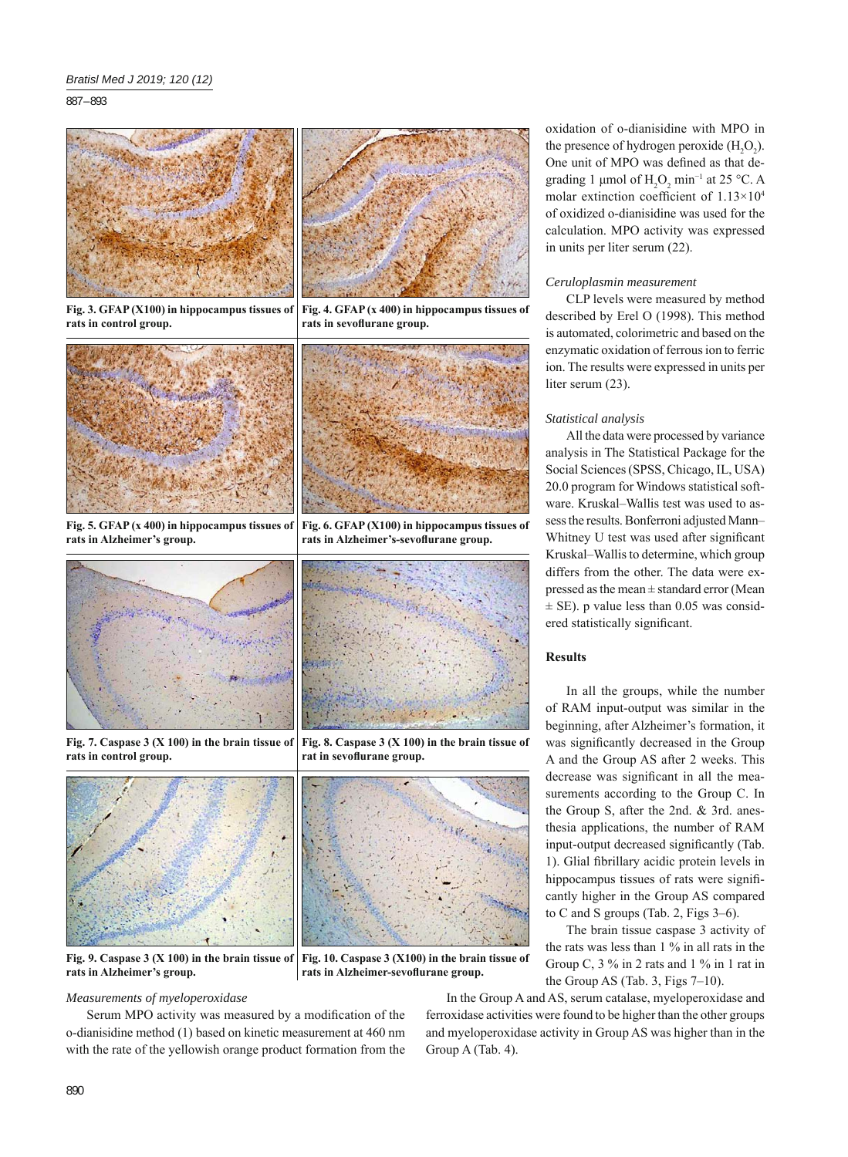887 – 893



**Fig. 3. GFAP (X100) in hippocampus tissues of rats in control group.** rats in sevoflurane group.



**Fig. 5. GFAP (x 400) in hippocampus tissues of rats in Alzheimer's group.**



**Fig. 7. Caspase 3 (X 100) in the brain tissue of rats in control group.**



**Fig. 9. Caspase 3 (X 100) in the brain tissue of rats in Alzheimer's group.**

## *Measurements of myeloperoxidase*

Serum MPO activity was measured by a modification of the o-dianisidine method (1) based on kinetic measurement at 460 nm with the rate of the yellowish orange product formation from the oxidation of o-dianisidine with MPO in the presence of hydrogen peroxide  $(H_2O_2)$ . One unit of MPO was defined as that degrading 1 µmol of  $H_2O_2$  min<sup>-1</sup> at 25 °C. A molar extinction coefficient of  $1.13 \times 10^4$ of oxidized o-dianisidine was used for the calculation. MPO activity was expressed in units per liter serum (22).

## *Ceruloplasmin measurement*

CLP levels were measured by method described by Erel O (1998). This method is automated, colorimetric and based on the enzymatic oxidation of ferrous ion to ferric ion. The results were expressed in units per liter serum (23).

## *Statistical analysis*

All the data were processed by variance analysis in The Statistical Package for the Social Sciences (SPSS, Chicago, IL, USA) 20.0 program for Windows statistical software. Kruskal–Wallis test was used to assess the results. Bonferroni adjusted Mann– Whitney U test was used after significant Kruskal–Wallis to determine, which group differs from the other. The data were expressed as the mean ± standard error (Mean  $\pm$  SE). p value less than 0.05 was considered statistically significant.

# **Results**

In all the groups, while the number of RAM input-output was similar in the beginning, after Alzheimer's formation, it was significantly decreased in the Group A and the Group AS after 2 weeks. This decrease was significant in all the measurements according to the Group C. In the Group S, after the 2nd. & 3rd. anesthesia applications, the number of RAM input-output decreased significantly (Tab. 1). Glial fibrillary acidic protein levels in hippocampus tissues of rats were significantly higher in the Group AS compared to C and S groups (Tab. 2, Figs 3–6).

The brain tissue caspase 3 activity of the rats was less than 1 % in all rats in the Group C, 3 % in 2 rats and 1 % in 1 rat in the Group AS (Tab. 3, Figs 7–10).

**Fig. 10. Caspase 3 (X100) in the brain tissue of**  rats in Alzheimer-sevoflurane group.

**Fig. 6. GFAP (X100) in hippocampus tissues of**  rats in Alzheimer's-sevoflurane group.

**Fig. 8. Caspase 3 (X 100) in the brain tissue of** 

rat in sevoflurane group.

In the Group A and AS, serum catalase, myeloperoxidase and ferroxidase activities were found to be higher than the other groups and myeloperoxidase activity in Group AS was higher than in the Group A (Tab. 4).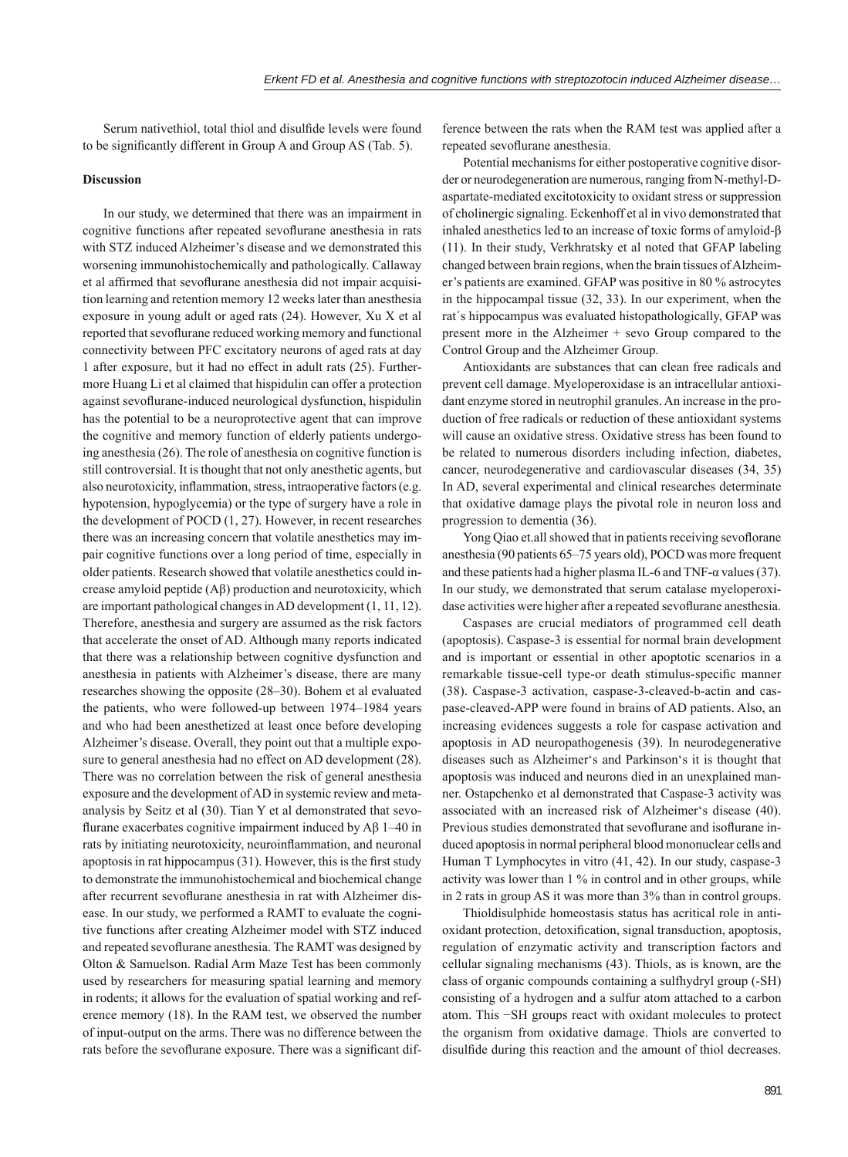Serum nativethiol, total thiol and disulfide levels were found to be significantly different in Group A and Group AS (Tab. 5).

## **Discussion**

In our study, we determined that there was an impairment in cognitive functions after repeated sevoflurane anesthesia in rats with STZ induced Alzheimer's disease and we demonstrated this worsening immunohistochemically and pathologically. Callaway et al affirmed that sevoflurane anesthesia did not impair acquisition learning and retention memory 12 weeks later than anesthesia exposure in young adult or aged rats (24). However, Xu X et al reported that sevoflurane reduced working memory and functional connectivity between PFC excitatory neurons of aged rats at day 1 after exposure, but it had no effect in adult rats (25). Furthermore Huang Li et al claimed that hispidulin can offer a protection against sevoflurane-induced neurological dysfunction, hispidulin has the potential to be a neuroprotective agent that can improve the cognitive and memory function of elderly patients undergoing anesthesia (26). The role of anesthesia on cognitive function is still controversial. It is thought that not only anesthetic agents, but also neurotoxicity, inflammation, stress, intraoperative factors (e.g. hypotension, hypoglycemia) or the type of surgery have a role in the development of POCD (1, 27). However, in recent researches there was an increasing concern that volatile anesthetics may impair cognitive functions over a long period of time, especially in older patients. Research showed that volatile anesthetics could increase amyloid peptide (Aβ) production and neurotoxicity, which are important pathological changes in AD development (1, 11, 12). Therefore, anesthesia and surgery are assumed as the risk factors that accelerate the onset of AD. Although many reports indicated that there was a relationship between cognitive dysfunction and anesthesia in patients with Alzheimer's disease, there are many researches showing the opposite (28–30). Bohem et al evaluated the patients, who were followed-up between 1974–1984 years and who had been anesthetized at least once before developing Alzheimer's disease. Overall, they point out that a multiple exposure to general anesthesia had no effect on AD development (28). There was no correlation between the risk of general anesthesia exposure and the development of AD in systemic review and metaanalysis by Seitz et al (30). Tian Y et al demonstrated that sevoflurane exacerbates cognitive impairment induced by  $\text{A}\beta$  1–40 in rats by initiating neurotoxicity, neuroinflammation, and neuronal apoptosis in rat hippocampus  $(31)$ . However, this is the first study to demonstrate the immunohistochemical and biochemical change after recurrent sevoflurane anesthesia in rat with Alzheimer disease. In our study, we performed a RAMT to evaluate the cognitive functions after creating Alzheimer model with STZ induced and repeated sevoflurane anesthesia. The RAMT was designed by Olton & Samuelson. Radial Arm Maze Test has been commonly used by researchers for measuring spatial learning and memory in rodents; it allows for the evaluation of spatial working and reference memory (18). In the RAM test, we observed the number of input-output on the arms. There was no difference between the rats before the sevoflurane exposure. There was a significant difference between the rats when the RAM test was applied after a repeated sevoflurane anesthesia.

Potential mechanisms for either postoperative cognitive disorder or neurodegeneration are numerous, ranging from N-methyl-Daspartate-mediated excitotoxicity to oxidant stress or suppression of cholinergic signaling. Eckenhoff et al in vivo demonstrated that inhaled anesthetics led to an increase of toxic forms of amyloid-β (11). In their study, Verkhratsky et al noted that GFAP labeling changed between brain regions, when the brain tissues of Alzheimer's patients are examined. GFAP was positive in 80 % astrocytes in the hippocampal tissue (32, 33). In our experiment, when the rat´s hippocampus was evaluated histopathologically, GFAP was present more in the Alzheimer + sevo Group compared to the Control Group and the Alzheimer Group.

Antioxidants are substances that can clean free radicals and prevent cell damage. Myeloperoxidase is an intracellular antioxidant enzyme stored in neutrophil granules. An increase in the production of free radicals or reduction of these antioxidant systems will cause an oxidative stress. Oxidative stress has been found to be related to numerous disorders including infection, diabetes, cancer, neurodegenerative and cardiovascular diseases (34, 35) In AD, several experimental and clinical researches determinate that oxidative damage plays the pivotal role in neuron loss and progression to dementia (36).

Yong Qiao et.all showed that in patients receiving sevoflorane anesthesia (90 patients 65–75 years old), POCD was more frequent and these patients had a higher plasma IL-6 and TNF- $\alpha$  values (37). In our study, we demonstrated that serum catalase myeloperoxidase activities were higher after a repeated sevoflurane anesthesia.

Caspases are crucial mediators of programmed cell death (apoptosis). Caspase-3 is essential for normal brain development and is important or essential in other apoptotic scenarios in a remarkable tissue-cell type-or death stimulus-specific manner (38). Caspase-3 activation, caspase-3-cleaved-b-actin and caspase-cleaved-APP were found in brains of AD patients. Also, an increasing evidences suggests a role for caspase activation and apoptosis in AD neuropathogenesis (39). In neurodegenerative diseases such as Alzheimer's and Parkinson's it is thought that apoptosis was induced and neurons died in an unexplained manner. Ostapchenko et al demonstrated that Caspase-3 activity was associated with an increased risk of Alzheimer's disease (40). Previous studies demonstrated that sevoflurane and isoflurane induced apoptosis in normal peripheral blood mononuclear cells and Human T Lymphocytes in vitro (41, 42). In our study, caspase-3 activity was lower than 1 % in control and in other groups, while in 2 rats in group AS it was more than 3% than in control groups.

Thioldisulphide homeostasis status has acritical role in antioxidant protection, detoxification, signal transduction, apoptosis, regulation of enzymatic activity and transcription factors and cellular signaling mechanisms (43). Thiols, as is known, are the class of organic compounds containing a sulfhydryl group (-SH) consisting of a hydrogen and a sulfur atom attached to a carbon atom. This −SH groups react with oxidant molecules to protect the organism from oxidative damage. Thiols are converted to disulfide during this reaction and the amount of thiol decreases.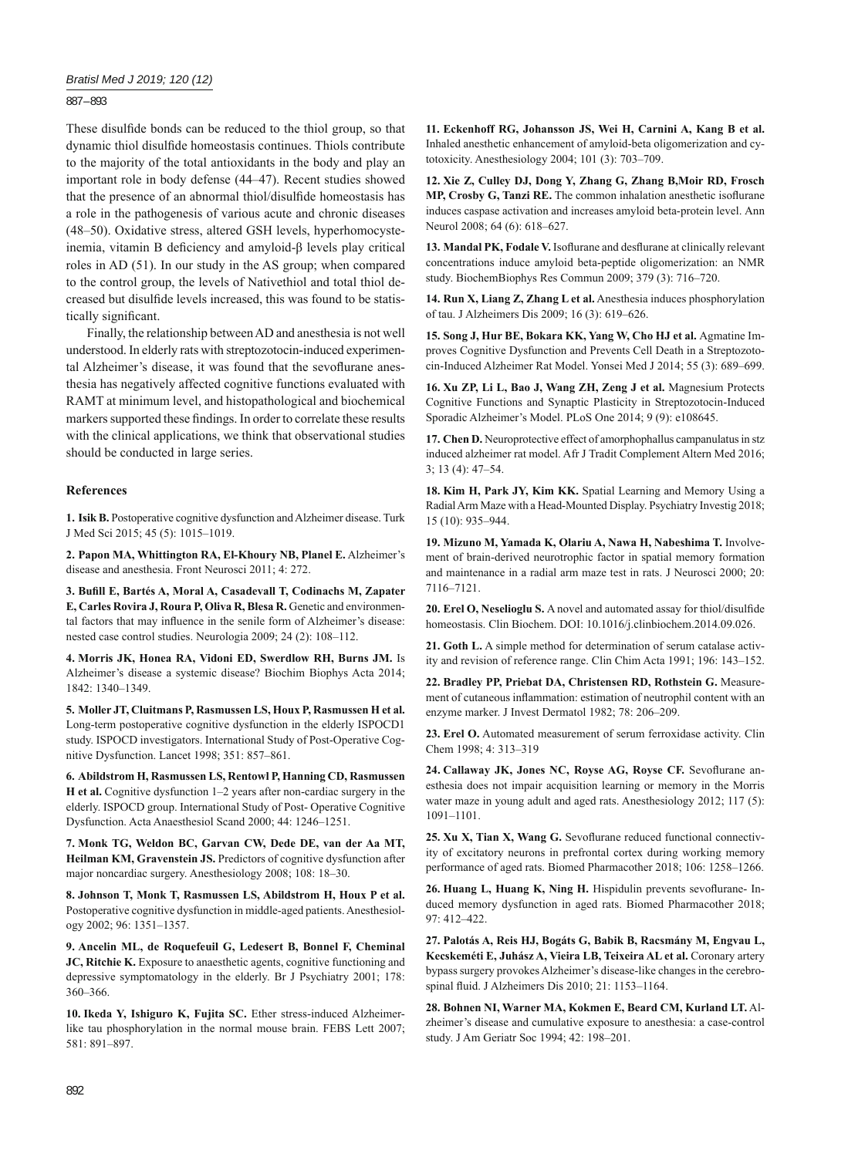887 – 893

These disulfide bonds can be reduced to the thiol group, so that dynamic thiol disulfide homeostasis continues. Thiols contribute to the majority of the total antioxidants in the body and play an important role in body defense (44–47). Recent studies showed that the presence of an abnormal thiol/disulfide homeostasis has a role in the pathogenesis of various acute and chronic diseases (48–50). Oxidative stress, altered GSH levels, hyperhomocysteinemia, vitamin B deficiency and amyloid-β levels play critical roles in AD (51). In our study in the AS group; when compared to the control group, the levels of Nativethiol and total thiol decreased but disulfide levels increased, this was found to be statistically significant.

Finally, the relationship between AD and anesthesia is not well understood. In elderly rats with streptozotocin-induced experimental Alzheimer's disease, it was found that the sevoflurane anesthesia has negatively affected cognitive functions evaluated with RAMT at minimum level, and histopathological and biochemical markers supported these findings. In order to correlate these results with the clinical applications, we think that observational studies should be conducted in large series.

# **References**

**1. Isik B.** Postoperative cognitive dysfunction and Alzheimer disease. Turk J Med Sci 2015; 45 (5): 1015–1019.

**2. Papon MA, Whittington RA, El-Khoury NB, Planel E.** Alzheimer's disease and anesthesia. Front Neurosci 2011; 4: 272.

3. Bufill E, Bartés A, Moral A, Casadevall T, Codinachs M, Zapater **E, Carles Rovira J, Roura P, Oliva R, Blesa R.** Genetic and environmental factors that may influence in the senile form of Alzheimer's disease: nested case control studies. Neurologia 2009; 24 (2): 108–112.

**4. Morris JK, Honea RA, Vidoni ED, Swerdlow RH, Burns JM.** Is Alzheimer's disease a systemic disease? Biochim Biophys Acta 2014; 1842: 1340–1349.

**5. Moller JT, Cluitmans P, Rasmussen LS, Houx P, Rasmussen H et al.** Long-term postoperative cognitive dysfunction in the elderly ISPOCD1 study. ISPOCD investigators. International Study of Post-Operative Cognitive Dysfunction. Lancet 1998; 351: 857–861.

**6. Abildstrom H, Rasmussen LS, Rentowl P, Hanning CD, Rasmussen H et al.** Cognitive dysfunction 1–2 years after non-cardiac surgery in the elderly. ISPOCD group. International Study of Post- Operative Cognitive Dysfunction. Acta Anaesthesiol Scand 2000; 44: 1246–1251.

**7. Monk TG, Weldon BC, Garvan CW, Dede DE, van der Aa MT, Heilman KM, Gravenstein JS.** Predictors of cognitive dysfunction after major noncardiac surgery. Anesthesiology 2008; 108: 18–30.

**8. Johnson T, Monk T, Rasmussen LS, Abildstrom H, Houx P et al.** Postoperative cognitive dysfunction in middle-aged patients. Anesthesiology 2002; 96: 1351–1357.

**9. Ancelin ML, de Roquefeuil G, Ledesert B, Bonnel F, Cheminal JC, Ritchie K.** Exposure to anaesthetic agents, cognitive functioning and depressive symptomatology in the elderly. Br J Psychiatry 2001; 178: 360–366.

**10. Ikeda Y, Ishiguro K, Fujita SC.** Ether stress-induced Alzheimerlike tau phosphorylation in the normal mouse brain. FEBS Lett 2007; 581: 891–897.

**11. Eckenhoff RG, Johansson JS, Wei H, Carnini A, Kang B et al.**  Inhaled anesthetic enhancement of amyloid-beta oligomerization and cytotoxicity. Anesthesiology 2004; 101 (3): 703–709.

**12. Xie Z, Culley DJ, Dong Y, Zhang G, Zhang B,Moir RD, Frosch**  MP, Crosby G, Tanzi RE. The common inhalation anesthetic isoflurane induces caspase activation and increases amyloid beta-protein level. Ann Neurol 2008; 64 (6): 618–627.

13. Mandal PK, Fodale V. Isoflurane and desflurane at clinically relevant concentrations induce amyloid beta-peptide oligomerization: an NMR study. BiochemBiophys Res Commun 2009; 379 (3): 716–720.

**14. Run X, Liang Z, Zhang L et al.** Anesthesia induces phosphorylation of tau. J Alzheimers Dis 2009; 16 (3): 619–626.

15. Song J, Hur BE, Bokara KK, Yang W, Cho HJ et al. Agmatine Improves Cognitive Dysfunction and Prevents Cell Death in a Streptozotocin-Induced Alzheimer Rat Model. Yonsei Med J 2014; 55 (3): 689–699.

**16. Xu ZP, Li L, Bao J, Wang ZH, Zeng J et al.** Magnesium Protects Cognitive Functions and Synaptic Plasticity in Streptozotocin-Induced Sporadic Alzheimer's Model. PLoS One 2014; 9 (9): e108645.

**17. Chen D.** Neuroprotective effect of amorphophallus campanulatus in stz induced alzheimer rat model. Afr J Tradit Complement Altern Med 2016; 3; 13 (4): 47–54.

**18. Kim H, Park JY, Kim KK.** Spatial Learning and Memory Using a Radial Arm Maze with a Head-Mounted Display. Psychiatry Investig 2018; 15 (10): 935‒944.

**19. Mizuno M, Yamada K, Olariu A, Nawa H, Nabeshima T.** Involvement of brain-derived neurotrophic factor in spatial memory formation and maintenance in a radial arm maze test in rats. J Neurosci 2000; 20: 7116‒7121.

20. Erel O, Neselioglu S. A novel and automated assay for thiol/disulfide homeostasis. Clin Biochem. DOI: 10.1016/j.clinbiochem.2014.09.026.

**21. Goth L.** A simple method for determination of serum catalase activity and revision of reference range. Clin Chim Acta 1991; 196: 143–152.

**22. Bradley PP, Priebat DA, Christensen RD, Rothstein G.** Measurement of cutaneous inflammation: estimation of neutrophil content with an enzyme marker. J Invest Dermatol 1982; 78: 206–209.

**23. Erel O.** Automated measurement of serum ferroxidase activity. Clin Chem 1998; 4: 313–319

24. Callaway JK, Jones NC, Royse AG, Royse CF. Sevoflurane anesthesia does not impair acquisition learning or memory in the Morris water maze in young adult and aged rats. Anesthesiology 2012; 117 (5): 1091–1101.

25. Xu X, Tian X, Wang G. Sevoflurane reduced functional connectivity of excitatory neurons in prefrontal cortex during working memory performance of aged rats. Biomed Pharmacother 2018; 106: 1258–1266.

26. Huang L, Huang K, Ning H. Hispidulin prevents sevoflurane- Induced memory dysfunction in aged rats. Biomed Pharmacother 2018; 97: 412–422.

**27. Palotás A, Reis HJ, Bogáts G, Babik B, Racsmány M, Engvau L, Kecskeméti E, Juhász A, Vieira LB, Teixeira AL et al.** Coronary artery bypass surgery provokes Alzheimer's disease-like changes in the cerebrospinal fluid. J Alzheimers Dis 2010; 21: 1153-1164.

**28. Bohnen NI, Warner MA, Kokmen E, Beard CM, Kurland LT.** Alzheimer's disease and cumulative exposure to anesthesia: a case-control study. J Am Geriatr Soc 1994; 42: 198–201.